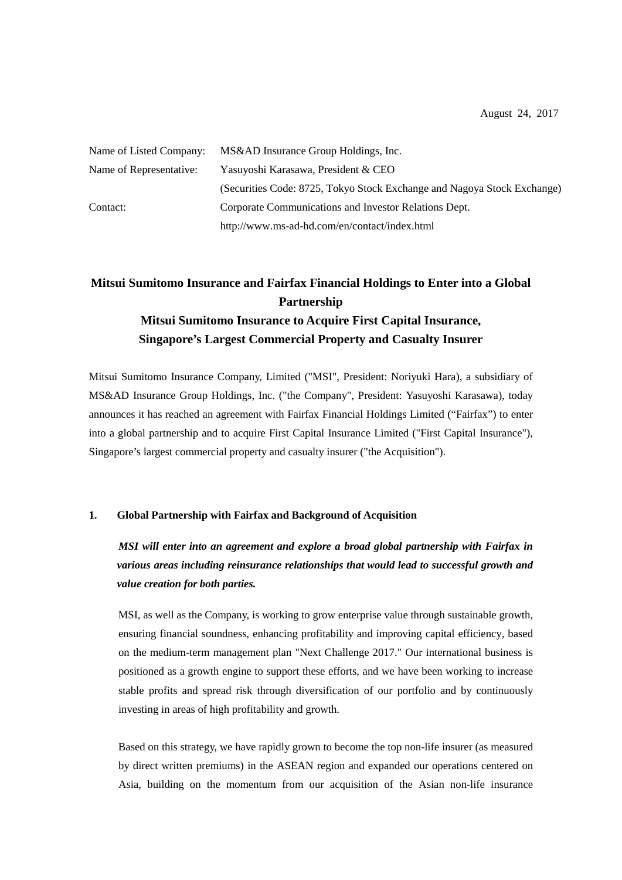| Name of Listed Company: | MS&AD Insurance Group Holdings, Inc.                                    |
|-------------------------|-------------------------------------------------------------------------|
| Name of Representative: | Yasuyoshi Karasawa, President & CEO                                     |
|                         | (Securities Code: 8725, Tokyo Stock Exchange and Nagoya Stock Exchange) |
| Contact:                | Corporate Communications and Investor Relations Dept.                   |
|                         | http://www.ms-ad-hd.com/en/contact/index.html                           |

# **Mitsui Sumitomo Insurance and Fairfax Financial Holdings to Enter into a Global Partnership Mitsui Sumitomo Insurance to Acquire First Capital Insurance, Singapore's Largest Commercial Property and Casualty Insurer**

Mitsui Sumitomo Insurance Company, Limited ("MSI", President: Noriyuki Hara), a subsidiary of MS&AD Insurance Group Holdings, Inc. ("the Company", President: Yasuyoshi Karasawa), today announces it has reached an agreement with Fairfax Financial Holdings Limited ("Fairfax") to enter into a global partnership and to acquire First Capital Insurance Limited ("First Capital Insurance"), Singapore's largest commercial property and casualty insurer ("the Acquisition").

## **1. Global Partnership with Fairfax and Background of Acquisition**

*MSI will enter into an agreement and explore a broad global partnership with Fairfax in various areas including reinsurance relationships that would lead to successful growth and value creation for both parties.* 

MSI, as well as the Company, is working to grow enterprise value through sustainable growth, ensuring financial soundness, enhancing profitability and improving capital efficiency, based on the medium-term management plan "Next Challenge 2017." Our international business is positioned as a growth engine to support these efforts, and we have been working to increase stable profits and spread risk through diversification of our portfolio and by continuously investing in areas of high profitability and growth.

Based on this strategy, we have rapidly grown to become the top non-life insurer (as measured by direct written premiums) in the ASEAN region and expanded our operations centered on Asia, building on the momentum from our acquisition of the Asian non-life insurance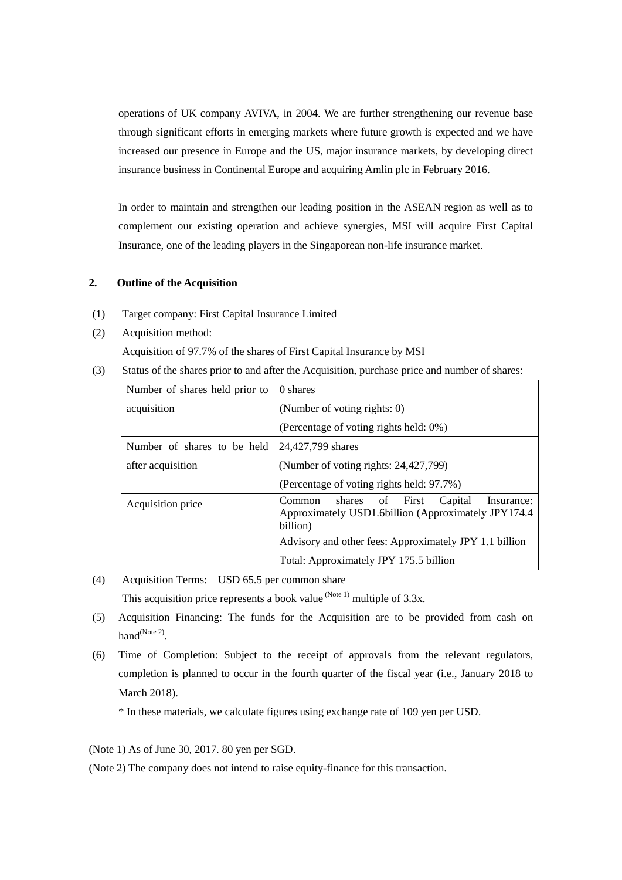operations of UK company AVIVA, in 2004. We are further strengthening our revenue base through significant efforts in emerging markets where future growth is expected and we have increased our presence in Europe and the US, major insurance markets, by developing direct insurance business in Continental Europe and acquiring Amlin plc in February 2016.

In order to maintain and strengthen our leading position in the ASEAN region as well as to complement our existing operation and achieve synergies, MSI will acquire First Capital Insurance, one of the leading players in the Singaporean non-life insurance market.

## **2. Outline of the Acquisition**

- (1) Target company: First Capital Insurance Limited
- (2) Acquisition method:

Acquisition of 97.7% of the shares of First Capital Insurance by MSI

(3) Status of the shares prior to and after the Acquisition, purchase price and number of shares:

| Number of shares held prior to | 0 shares                                                                                                                  |  |  |
|--------------------------------|---------------------------------------------------------------------------------------------------------------------------|--|--|
| acquisition                    | (Number of voting rights: 0)                                                                                              |  |  |
|                                | (Percentage of voting rights held: 0%)                                                                                    |  |  |
| Number of shares to be held    | 24,427,799 shares                                                                                                         |  |  |
| after acquisition              | (Number of voting rights: 24,427,799)                                                                                     |  |  |
|                                | (Percentage of voting rights held: 97.7%)                                                                                 |  |  |
| Acquisition price              | of First<br>Capital<br>shares<br>Common<br>Insurance:<br>Approximately USD1.6billion (Approximately JPY174.4)<br>billion) |  |  |
|                                | Advisory and other fees: Approximately JPY 1.1 billion                                                                    |  |  |
|                                | Total: Approximately JPY 175.5 billion                                                                                    |  |  |

- (4) Acquisition Terms: USD 65.5 per common share This acquisition price represents a book value  $^{(Note 1)}$  multiple of 3.3x.
- (5) Acquisition Financing: The funds for the Acquisition are to be provided from cash on hand<sup>(Note 2)</sup>.
- (6) Time of Completion: Subject to the receipt of approvals from the relevant regulators, completion is planned to occur in the fourth quarter of the fiscal year (i.e., January 2018 to March 2018).

\* In these materials, we calculate figures using exchange rate of 109 yen per USD.

(Note 1) As of June 30, 2017. 80 yen per SGD.

(Note 2) The company does not intend to raise equity-finance for this transaction.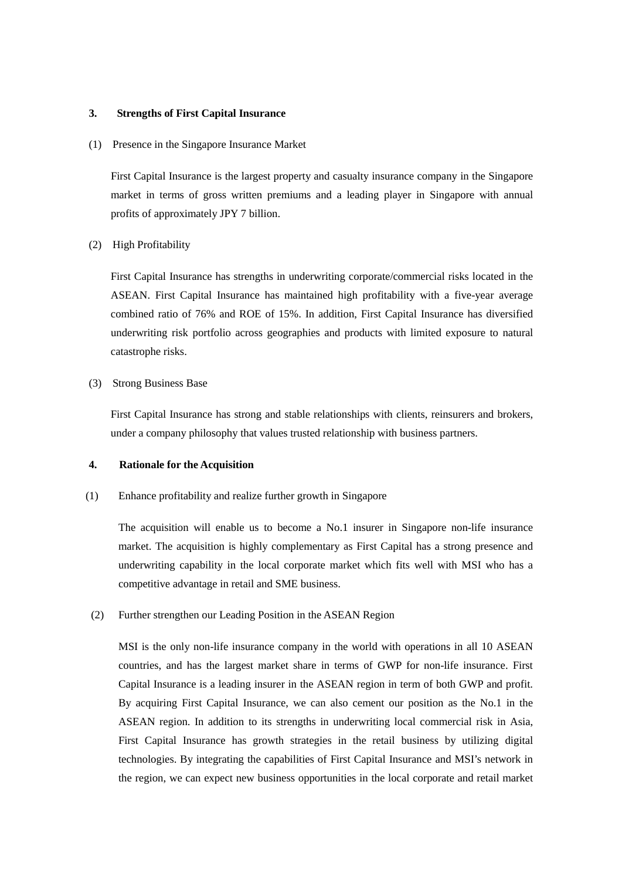### **3. Strengths of First Capital Insurance**

(1) Presence in the Singapore Insurance Market

First Capital Insurance is the largest property and casualty insurance company in the Singapore market in terms of gross written premiums and a leading player in Singapore with annual profits of approximately JPY 7 billion.

## (2) High Profitability

First Capital Insurance has strengths in underwriting corporate/commercial risks located in the ASEAN. First Capital Insurance has maintained high profitability with a five-year average combined ratio of 76% and ROE of 15%. In addition, First Capital Insurance has diversified underwriting risk portfolio across geographies and products with limited exposure to natural catastrophe risks.

## (3) Strong Business Base

First Capital Insurance has strong and stable relationships with clients, reinsurers and brokers, under a company philosophy that values trusted relationship with business partners.

## **4. Rationale for the Acquisition**

#### (1) Enhance profitability and realize further growth in Singapore

The acquisition will enable us to become a No.1 insurer in Singapore non-life insurance market. The acquisition is highly complementary as First Capital has a strong presence and underwriting capability in the local corporate market which fits well with MSI who has a competitive advantage in retail and SME business.

## (2) Further strengthen our Leading Position in the ASEAN Region

MSI is the only non-life insurance company in the world with operations in all 10 ASEAN countries, and has the largest market share in terms of GWP for non-life insurance. First Capital Insurance is a leading insurer in the ASEAN region in term of both GWP and profit. By acquiring First Capital Insurance, we can also cement our position as the No.1 in the ASEAN region. In addition to its strengths in underwriting local commercial risk in Asia, First Capital Insurance has growth strategies in the retail business by utilizing digital technologies. By integrating the capabilities of First Capital Insurance and MSI's network in the region, we can expect new business opportunities in the local corporate and retail market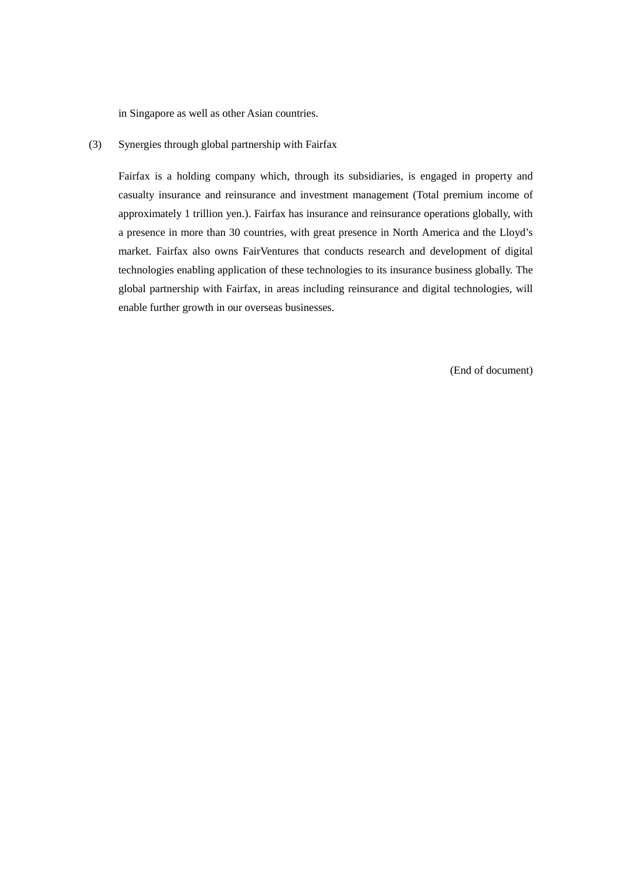in Singapore as well as other Asian countries.

(3) Synergies through global partnership with Fairfax

Fairfax is a holding company which, through its subsidiaries, is engaged in property and casualty insurance and reinsurance and investment management (Total premium income of approximately 1 trillion yen.). Fairfax has insurance and reinsurance operations globally, with a presence in more than 30 countries, with great presence in North America and the Lloyd's market. Fairfax also owns FairVentures that conducts research and development of digital technologies enabling application of these technologies to its insurance business globally. The global partnership with Fairfax, in areas including reinsurance and digital technologies, will enable further growth in our overseas businesses.

(End of document)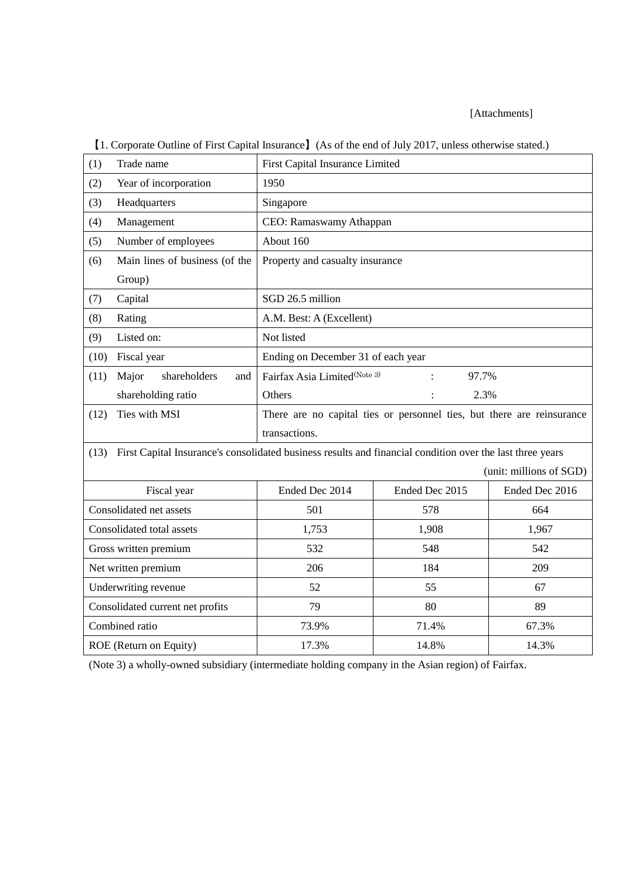## [Attachments]

| (1)<br>Trade name                                                                                                 |                                  | First Capital Insurance Limited                                        |                         |                |  |  |  |  |
|-------------------------------------------------------------------------------------------------------------------|----------------------------------|------------------------------------------------------------------------|-------------------------|----------------|--|--|--|--|
| (2)                                                                                                               | Year of incorporation            | 1950                                                                   |                         |                |  |  |  |  |
| (3)                                                                                                               | Headquarters                     | Singapore                                                              |                         |                |  |  |  |  |
| (4)                                                                                                               | Management                       | CEO: Ramaswamy Athappan                                                |                         |                |  |  |  |  |
| (5)                                                                                                               | Number of employees              | About 160                                                              |                         |                |  |  |  |  |
| (6)                                                                                                               | Main lines of business (of the   | Property and casualty insurance                                        |                         |                |  |  |  |  |
|                                                                                                                   | Group)                           |                                                                        |                         |                |  |  |  |  |
| (7)                                                                                                               | Capital                          | SGD 26.5 million                                                       |                         |                |  |  |  |  |
| (8)                                                                                                               | Rating                           | A.M. Best: A (Excellent)                                               |                         |                |  |  |  |  |
| (9)                                                                                                               | Listed on:                       | Not listed                                                             |                         |                |  |  |  |  |
| (10)                                                                                                              | Fiscal year                      | Ending on December 31 of each year                                     |                         |                |  |  |  |  |
| (11)                                                                                                              | shareholders<br>Major<br>and     | Fairfax Asia Limited(Note 3)<br>97.7%                                  |                         |                |  |  |  |  |
|                                                                                                                   | shareholding ratio               | 2.3%<br>Others                                                         |                         |                |  |  |  |  |
| (12)                                                                                                              | Ties with MSI                    | There are no capital ties or personnel ties, but there are reinsurance |                         |                |  |  |  |  |
|                                                                                                                   |                                  | transactions.                                                          |                         |                |  |  |  |  |
| First Capital Insurance's consolidated business results and financial condition over the last three years<br>(13) |                                  |                                                                        |                         |                |  |  |  |  |
|                                                                                                                   |                                  |                                                                        | (unit: millions of SGD) |                |  |  |  |  |
| Fiscal year                                                                                                       |                                  |                                                                        |                         |                |  |  |  |  |
| Consolidated net assets                                                                                           |                                  | Ended Dec 2014                                                         | Ended Dec 2015          | Ended Dec 2016 |  |  |  |  |
|                                                                                                                   |                                  | 501                                                                    | 578                     | 664            |  |  |  |  |
|                                                                                                                   | Consolidated total assets        | 1,753                                                                  | 1,908                   | 1,967          |  |  |  |  |
|                                                                                                                   | Gross written premium            | 532                                                                    | 548                     | 542            |  |  |  |  |
|                                                                                                                   | Net written premium              | 206                                                                    | 184                     | 209            |  |  |  |  |
|                                                                                                                   | Underwriting revenue             | 52                                                                     | 55                      | 67             |  |  |  |  |
|                                                                                                                   | Consolidated current net profits | 79                                                                     | 80                      | 89             |  |  |  |  |
|                                                                                                                   | Combined ratio                   | 73.9%                                                                  | 71.4%                   | 67.3%          |  |  |  |  |

【1. Corporate Outline of First Capital Insurance】(As of the end of July 2017, unless otherwise stated.)

(Note 3) a wholly-owned subsidiary (intermediate holding company in the Asian region) of Fairfax.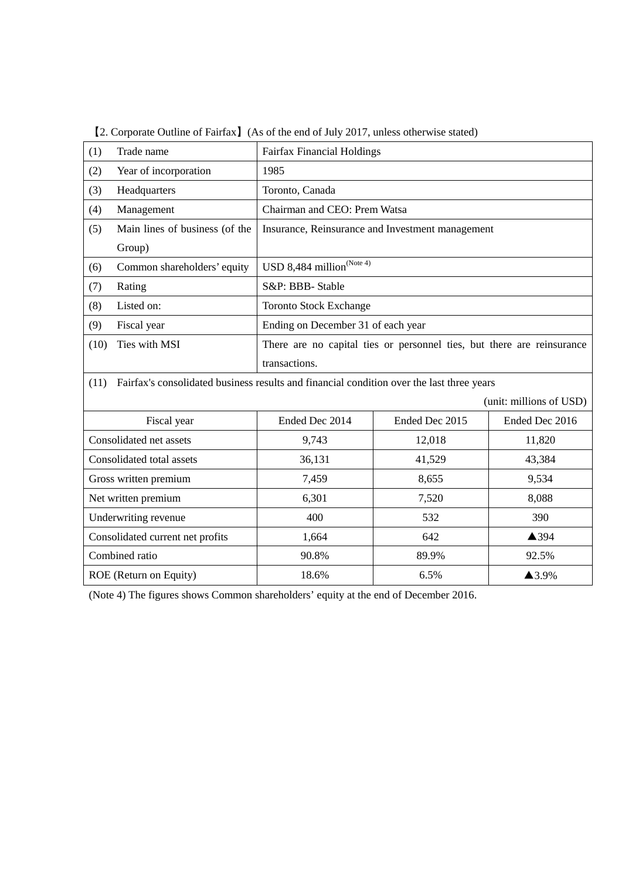| (1)<br>Trade name                                                                                 |                                | <b>Fairfax Financial Holdings</b>                                      |                |                         |  |
|---------------------------------------------------------------------------------------------------|--------------------------------|------------------------------------------------------------------------|----------------|-------------------------|--|
| (2)                                                                                               | Year of incorporation          | 1985                                                                   |                |                         |  |
| (3)                                                                                               | Headquarters                   | Toronto, Canada                                                        |                |                         |  |
| (4)                                                                                               | Management                     | Chairman and CEO: Prem Watsa                                           |                |                         |  |
| (5)                                                                                               | Main lines of business (of the | Insurance, Reinsurance and Investment management                       |                |                         |  |
|                                                                                                   | Group)                         |                                                                        |                |                         |  |
| (6)                                                                                               | Common shareholders' equity    | USD 8,484 million $^{\rm (Note 4)}$                                    |                |                         |  |
| (7)                                                                                               | Rating                         | S&P: BBB- Stable                                                       |                |                         |  |
| (8)                                                                                               | Listed on:                     | <b>Toronto Stock Exchange</b>                                          |                |                         |  |
| (9)                                                                                               | Fiscal year                    | Ending on December 31 of each year                                     |                |                         |  |
| (10)                                                                                              | Ties with MSI                  | There are no capital ties or personnel ties, but there are reinsurance |                |                         |  |
|                                                                                                   |                                | transactions.                                                          |                |                         |  |
| Fairfax's consolidated business results and financial condition over the last three years<br>(11) |                                |                                                                        |                |                         |  |
|                                                                                                   |                                |                                                                        |                | (unit: millions of USD) |  |
| Fiscal year                                                                                       |                                | Ended Dec 2014                                                         | Ended Dec 2015 | Ended Dec 2016          |  |
| Consolidated net assets                                                                           |                                | 9,743                                                                  | 12,018         | 11,820                  |  |
| Consolidated total assets                                                                         |                                | 36,131                                                                 | 41,529         | 43,384                  |  |
| Gross written premium                                                                             |                                | 7,459                                                                  | 8,655          | 9,534                   |  |
| Net written premium                                                                               |                                | 6,301                                                                  | 7,520          | 8,088                   |  |
| Underwriting revenue                                                                              |                                | 400                                                                    | 532            | 390                     |  |
| Consolidated current net profits                                                                  |                                | 1,664                                                                  | 642            | ▲394                    |  |
| Combined ratio                                                                                    |                                | 90.8%                                                                  | 89.9%          | 92.5%                   |  |
| ROE (Return on Equity)                                                                            |                                | 18.6%                                                                  | 6.5%           | ▲3.9%                   |  |

【2. Corporate Outline of Fairfax】(As of the end of July 2017, unless otherwise stated)

(Note 4) The figures shows Common shareholders' equity at the end of December 2016.